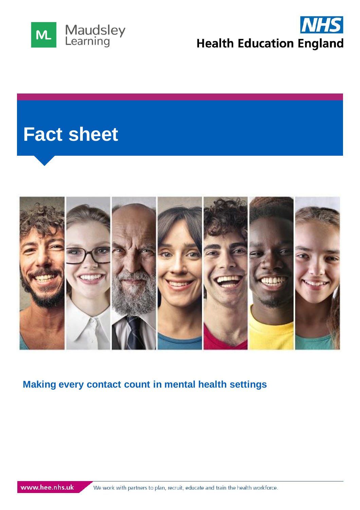



# **Fact sheet**



## **Making every contact count in mental health settings**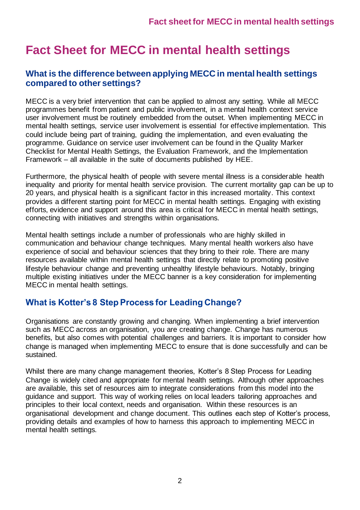# **Fact Sheet for MECC in mental health settings**

#### **What is the difference between applying MECC in mental health settings compared to other settings?**

MECC is a very brief intervention that can be applied to almost any setting. While all MECC programmes benefit from patient and public involvement, in a mental health context service user involvement must be routinely embedded from the outset. When implementing MECC in mental health settings, service user involvement is essential for effective implementation. This could include being part of training, guiding the implementation, and even evaluating the programme. Guidance on service user involvement can be found in the Quality Marker Checklist for Mental Health Settings, the Evaluation Framework, and the Implementation Framework – all available in the suite of documents published by HEE.

Furthermore, the physical health of people with severe mental illness is a considerable health inequality and priority for mental health service provision. The current mortality gap can be up to 20 years, and physical health is a significant factor in this increased mortality. This context provides a different starting point for MECC in mental health settings. Engaging with existing efforts, evidence and support around this area is critical for MECC in mental health settings, connecting with initiatives and strengths within organisations.

Mental health settings include a number of professionals who are highly skilled in communication and behaviour change techniques. Many mental health workers also have experience of social and behaviour sciences that they bring to their role. There are many resources available within mental health settings that directly relate to promoting positive lifestyle behaviour change and preventing unhealthy lifestyle behaviours. Notably, bringing multiple existing initiatives under the MECC banner is a key consideration for implementing MECC in mental health settings.

### **What is Kotter's 8 Step Process for Leading Change?**

Organisations are constantly growing and changing. When implementing a brief intervention such as MECC across an organisation, you are creating change. Change has numerous benefits, but also comes with potential challenges and barriers. It is important to consider how change is managed when implementing MECC to ensure that is done successfully and can be sustained.

Whilst there are many change management theories, Kotter's 8 Step Process for Leading Change is widely cited and appropriate for mental health settings. Although other approaches are available, this set of resources aim to integrate considerations from this model into the guidance and support. This way of working relies on local leaders tailoring approaches and principles to their local context, needs and organisation. Within these resources is an organisational development and change document. This outlines each step of Kotter's process, providing details and examples of how to harness this approach to implementing MECC in mental health settings.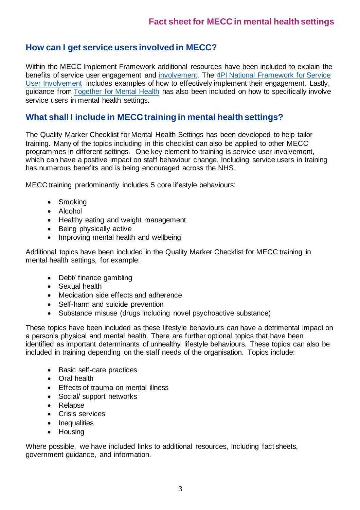### **How can I get service users involved in MECC?**

Within the MECC Implement Framework additional resources have been included to explain the benefits of service user engagement and [involvement.](https://www.kingsfund.org.uk/topics/patient-involvement) The [4PI National Framework for Service](https://www.nsun.org.uk/faqs/4pi-national-involvement-standards)  [User Involvement](https://www.nsun.org.uk/faqs/4pi-national-involvement-standards) includes examples of how to effectively implement their engagement. Lastly, guidance from [Together for Mental Health](https://www.together-uk.org/wp-content/uploads/downloads/2014/06/Service-User-Involvement-briefing.pdf) has also been included on how to specifically involve service users in mental health settings.

#### **What shall I include in MECC training in mental health settings?**

The Quality Marker Checklist for Mental Health Settings has been developed to help tailor training. Many of the topics including in this checklist can also be applied to other MECC programmes in different settings. One key element to training is service user involvement, which can have a positive impact on staff behaviour change. Including service users in training has numerous benefits and is being encouraged across the NHS.

MECC training predominantly includes 5 core lifestyle behaviours:

- Smoking
- Alcohol
- Healthy eating and weight management
- Being physically active
- Improving mental health and wellbeing

Additional topics have been included in the Quality Marker Checklist for MECC training in mental health settings, for example:

- Debt/ finance gambling
- Sexual health
- Medication side effects and adherence
- Self-harm and suicide prevention
- Substance misuse (drugs including novel psychoactive substance)

These topics have been included as these lifestyle behaviours can have a detrimental impact on a person's physical and mental health. There are further optional topics that have been identified as important determinants of unhealthy lifestyle behaviours. These topics can also be included in training depending on the staff needs of the organisation. Topics include:

- Basic self-care practices
- Oral health
- Effects of trauma on mental illness
- Social/ support networks
- Relapse
- Crisis services
- Inequalities
- Housing

Where possible, we have included links to additional resources, including fact sheets, government guidance, and information.